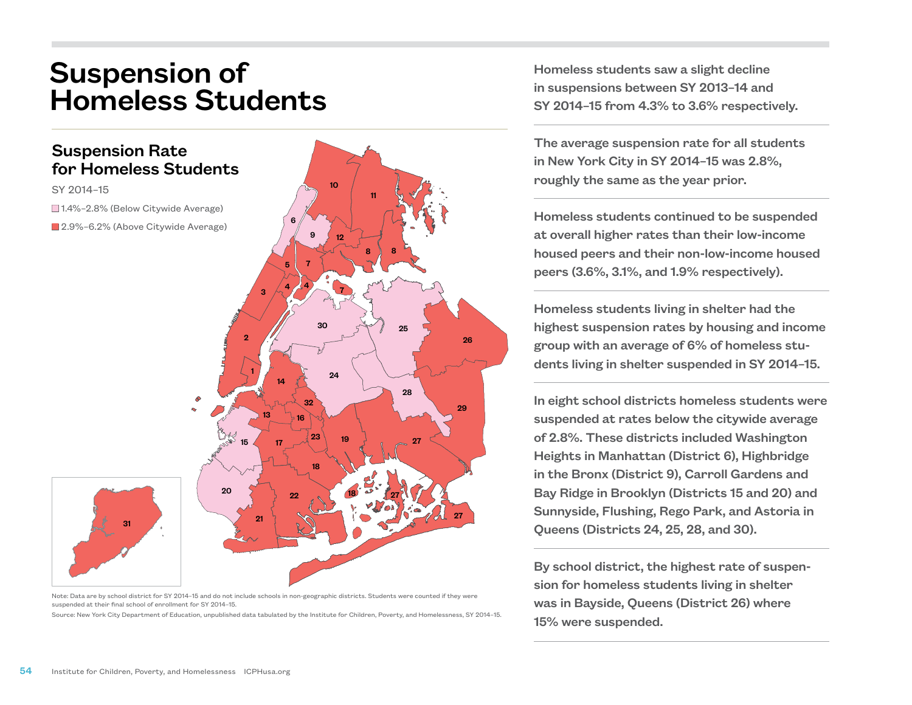## Suspension of Homeless Students



Note: Data are by school district for SY 2014–15 and do not include schools in non-geographic districts. Students were counted if they were suspended at their final school of enrollment for SY 2014–15.

Source: New York City Department of Education, unpublished data tabulated by the Institute for Children, Poverty, and Homelessness, SY 2014–15.

Homeless students saw a slight decline in suspensions between SY 2013–14 and SY 2014–15 from 4.3% to 3.6% respectively.

The average suspension rate for all students in New York City in SY 2014–15 was 2.8%, roughly the same as the year prior.

Homeless students continued to be suspended at overall higher rates than their low-income housed peers and their non-low-income housed peers (3.6%, 3.1%, and 1.9% respectively).

Homeless students living in shelter had the highest suspension rates by housing and income group with an average of 6% of homeless students living in shelter suspended in SY 2014–15.

In eight school districts homeless students were suspended at rates below the citywide average of 2.8%. These districts included Washington Heights in Manhattan (District 6), Highbridge in the Bronx (District 9), Carroll Gardens and Bay Ridge in Brooklyn (Districts 15 and 20) and Sunnyside, Flushing, Rego Park, and Astoria in Queens (Districts 24, 25, 28, and 30).

By school district, the highest rate of suspension for homeless students living in shelter was in Bayside, Queens (District 26) where 15% were suspended.